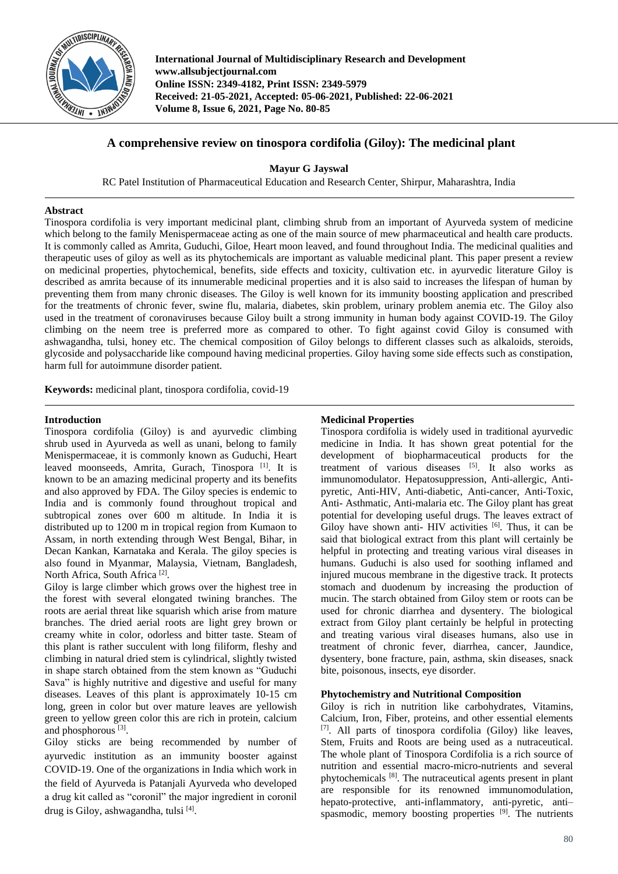

**International Journal of Multidisciplinary Research and Development www.allsubjectjournal.com Online ISSN: 2349-4182, Print ISSN: 2349-5979 Received: 21-05-2021, Accepted: 05-06-2021, Published: 22-06-2021 Volume 8, Issue 6, 2021, Page No. 80-85**

# **A comprehensive review on tinospora cordifolia (Giloy): The medicinal plant**

**Mayur G Jayswal**

RC Patel Institution of Pharmaceutical Education and Research Center, Shirpur, Maharashtra, India

# **Abstract**

Tinospora cordifolia is very important medicinal plant, climbing shrub from an important of Ayurveda system of medicine which belong to the family Menispermaceae acting as one of the main source of mew pharmaceutical and health care products. It is commonly called as Amrita, Guduchi, Giloe, Heart moon leaved, and found throughout India. The medicinal qualities and therapeutic uses of giloy as well as its phytochemicals are important as valuable medicinal plant. This paper present a review on medicinal properties, phytochemical, benefits, side effects and toxicity, cultivation etc. in ayurvedic literature Giloy is described as amrita because of its innumerable medicinal properties and it is also said to increases the lifespan of human by preventing them from many chronic diseases. The Giloy is well known for its immunity boosting application and prescribed for the treatments of chronic fever, swine flu, malaria, diabetes, skin problem, urinary problem anemia etc. The Giloy also used in the treatment of coronaviruses because Giloy built a strong immunity in human body against COVID-19. The Giloy climbing on the neem tree is preferred more as compared to other. To fight against covid Giloy is consumed with ashwagandha, tulsi, honey etc. The chemical composition of Giloy belongs to different classes such as alkaloids, steroids, glycoside and polysaccharide like compound having medicinal properties. Giloy having some side effects such as constipation, harm full for autoimmune disorder patient.

**Keywords:** medicinal plant, tinospora cordifolia, covid-19

## **Introduction**

Tinospora cordifolia (Giloy) is and ayurvedic climbing shrub used in Ayurveda as well as unani, belong to family Menispermaceae, it is commonly known as Guduchi, Heart leaved moonseeds, Amrita, Gurach, Tinospora [1]. It is known to be an amazing medicinal property and its benefits and also approved by FDA. The Giloy species is endemic to India and is commonly found throughout tropical and subtropical zones over 600 m altitude. In India it is distributed up to 1200 m in tropical region from Kumaon to Assam, in north extending through West Bengal, Bihar, in Decan Kankan, Karnataka and Kerala. The giloy species is also found in Myanmar, Malaysia, Vietnam, Bangladesh, North Africa, South Africa<sup>[2]</sup>.

Giloy is large climber which grows over the highest tree in the forest with several elongated twining branches. The roots are aerial threat like squarish which arise from mature branches. The dried aerial roots are light grey brown or creamy white in color, odorless and bitter taste. Steam of this plant is rather succulent with long filiform, fleshy and climbing in natural dried stem is cylindrical, slightly twisted in shape starch obtained from the stem known as "Guduchi Sava" is highly nutritive and digestive and useful for many diseases. Leaves of this plant is approximately 10-15 cm long, green in color but over mature leaves are yellowish green to yellow green color this are rich in protein, calcium and phosphorous [3].

Giloy sticks are being recommended by number of ayurvedic institution as an immunity booster against COVID-19. One of the organizations in India which work in the field of Ayurveda is Patanjali Ayurveda who developed a drug kit called as "coronil" the major ingredient in coronil drug is Giloy, ashwagandha, tulsi [4].

## **Medicinal Properties**

Tinospora cordifolia is widely used in traditional ayurvedic medicine in India. It has shown great potential for the development of biopharmaceutical products for the treatment of various diseases  $^{[5]}$ . It also works as immunomodulator. Hepatosuppression, Anti-allergic, Antipyretic, Anti-HIV, Anti-diabetic, Anti-cancer, Anti-Toxic, Anti- Asthmatic, Anti-malaria etc. The Giloy plant has great potential for developing useful drugs. The leaves extract of Giloy have shown anti- HIV activities  $[6]$ . Thus, it can be said that biological extract from this plant will certainly be helpful in protecting and treating various viral diseases in humans. Guduchi is also used for soothing inflamed and injured mucous membrane in the digestive track. It protects stomach and duodenum by increasing the production of mucin. The starch obtained from Giloy stem or roots can be used for chronic diarrhea and dysentery. The biological extract from Giloy plant certainly be helpful in protecting and treating various viral diseases humans, also use in treatment of chronic fever, diarrhea, cancer, Jaundice, dysentery, bone fracture, pain, asthma, skin diseases, snack bite, poisonous, insects, eye disorder.

### **Phytochemistry and Nutritional Composition**

Giloy is rich in nutrition like carbohydrates, Vitamins, Calcium, Iron, Fiber, proteins, and other essential elements [7]. All parts of tinospora cordifolia (Giloy) like leaves, Stem, Fruits and Roots are being used as a nutraceutical. The whole plant of Tinospora Cordifolia is a rich source of nutrition and essential macro-micro-nutrients and several phytochemicals [8]. The nutraceutical agents present in plant are responsible for its renowned immunomodulation, hepato-protective, anti-inflammatory, anti-pyretic, anti– spasmodic, memory boosting properties [9]. The nutrients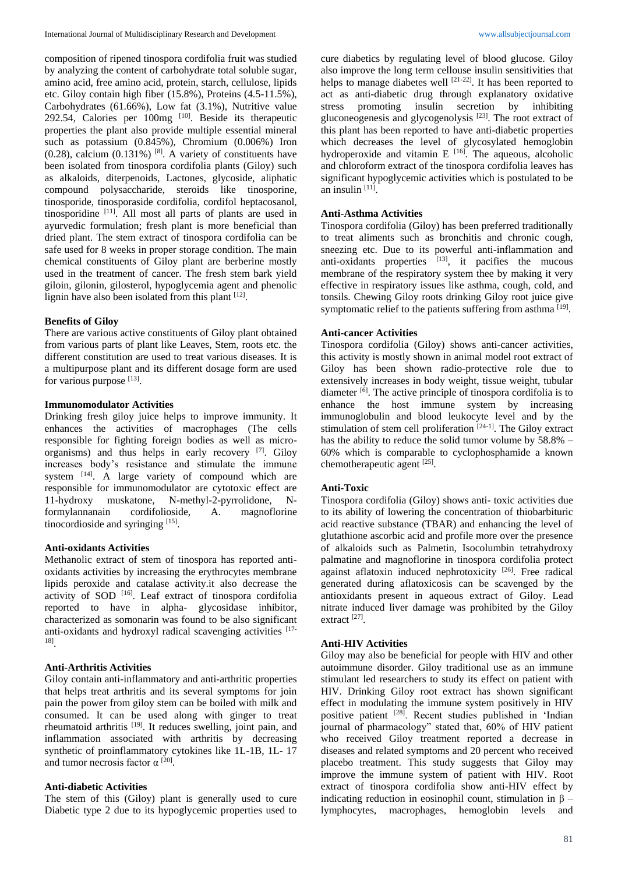composition of ripened tinospora cordifolia fruit was studied by analyzing the content of carbohydrate total soluble sugar, amino acid, free amino acid, protein, starch, cellulose, lipids etc. Giloy contain high fiber (15.8%), Proteins (4.5-11.5%), Carbohydrates (61.66%), Low fat (3.1%), Nutritive value 292.54, Calories per 100mg [10]. Beside its therapeutic properties the plant also provide multiple essential mineral such as potassium (0.845%), Chromium (0.006%) Iron  $(0.28)$ , calcium  $(0.131\%)$  [8]. A variety of constituents have been isolated from tinospora cordifolia plants (Giloy) such as alkaloids, diterpenoids, Lactones, glycoside, aliphatic compound polysaccharide, steroids like tinosporine, tinosporide, tinosporaside cordifolia, cordifol heptacosanol, tinosporidine [11]. All most all parts of plants are used in ayurvedic formulation; fresh plant is more beneficial than dried plant. The stem extract of tinospora cordifolia can be safe used for 8 weeks in proper storage condition. The main chemical constituents of Giloy plant are berberine mostly used in the treatment of cancer. The fresh stem bark yield giloin, gilonin, gilosterol, hypoglycemia agent and phenolic lignin have also been isolated from this plant [12].

### **Benefits of Giloy**

There are various active constituents of Giloy plant obtained from various parts of plant like Leaves, Stem, roots etc. the different constitution are used to treat various diseases. It is a multipurpose plant and its different dosage form are used for various purpose [13].

## **Immunomodulator Activities**

Drinking fresh giloy juice helps to improve immunity. It enhances the activities of macrophages (The cells responsible for fighting foreign bodies as well as microorganisms) and thus helps in early recovery [7]. Giloy increases body's resistance and stimulate the immune system [14]. A large variety of compound which are responsible for immunomodulator are cytotoxic effect are 11-hydroxy muskatone, N-methyl-2-pyrrolidone, Nformylannanain cordifolioside, A. magnoflorine tinocordioside and syringing [15].

### **Anti-oxidants Activities**

Methanolic extract of stem of tinospora has reported antioxidants activities by increasing the erythrocytes membrane lipids peroxide and catalase activity.it also decrease the activity of SOD<sup>[16]</sup>. Leaf extract of tinospora cordifolia reported to have in alpha- glycosidase inhibitor, characterized as somonarin was found to be also significant anti-oxidants and hydroxyl radical scavenging activities [17-18] .

# **Anti-Arthritis Activities**

Giloy contain anti-inflammatory and anti-arthritic properties that helps treat arthritis and its several symptoms for join pain the power from giloy stem can be boiled with milk and consumed. It can be used along with ginger to treat rheumatoid arthritis  $[19]$ . It reduces swelling, joint pain, and inflammation associated with arthritis by decreasing synthetic of proinflammatory cytokines like 1L-1B, 1L- 17 and tumor necrosis factor  $\alpha$ <sup>[20]</sup>.

### **Anti-diabetic Activities**

The stem of this (Giloy) plant is generally used to cure Diabetic type 2 due to its hypoglycemic properties used to cure diabetics by regulating level of blood glucose. Giloy also improve the long term cellouse insulin sensitivities that helps to manage diabetes well  $[21-22]$ . It has been reported to act as anti-diabetic drug through explanatory oxidative stress promoting insulin secretion by inhibiting gluconeogenesis and glycogenolysis [23]. The root extract of this plant has been reported to have anti-diabetic properties which decreases the level of glycosylated hemoglobin hydroperoxide and vitamin  $E$  [16]. The aqueous, alcoholic and chloroform extract of the tinospora cordifolia leaves has significant hypoglycemic activities which is postulated to be an insulin [11].

# **Anti-Asthma Activities**

Tinospora cordifolia (Giloy) has been preferred traditionally to treat aliments such as bronchitis and chronic cough, sneezing etc. Due to its powerful anti-inflammation and anti-oxidants properties  $\left[13\right]$ , it pacifies the mucous membrane of the respiratory system thee by making it very effective in respiratory issues like asthma, cough, cold, and tonsils. Chewing Giloy roots drinking Giloy root juice give symptomatic relief to the patients suffering from asthma [19].

#### **Anti-cancer Activities**

Tinospora cordifolia (Giloy) shows anti-cancer activities, this activity is mostly shown in animal model root extract of Giloy has been shown radio-protective role due to extensively increases in body weight, tissue weight, tubular diameter [6]. The active principle of tinospora cordifolia is to enhance the host immune system by increasing immunoglobulin and blood leukocyte level and by the stimulation of stem cell proliferation  $[24-1]$ . The Giloy extract has the ability to reduce the solid tumor volume by 58.8% – 60% which is comparable to cyclophosphamide a known chemotherapeutic agent [25].

### **Anti-Toxic**

Tinospora cordifolia (Giloy) shows anti- toxic activities due to its ability of lowering the concentration of thiobarbituric acid reactive substance (TBAR) and enhancing the level of glutathione ascorbic acid and profile more over the presence of alkaloids such as Palmetin, Isocolumbin tetrahydroxy palmatine and magnoflorine in tinospora cordifolia protect against aflatoxin induced nephrotoxicity [26]. Free radical generated during aflatoxicosis can be scavenged by the antioxidants present in aqueous extract of Giloy. Lead nitrate induced liver damage was prohibited by the Giloy extract<sup>[27]</sup>.

### **Anti-HIV Activities**

Giloy may also be beneficial for people with HIV and other autoimmune disorder. Giloy traditional use as an immune stimulant led researchers to study its effect on patient with HIV. Drinking Giloy root extract has shown significant effect in modulating the immune system positively in HIV positive patient [28]. Recent studies published in 'Indian journal of pharmacology" stated that, 60% of HIV patient who received Giloy treatment reported a decrease in diseases and related symptoms and 20 percent who received placebo treatment. This study suggests that Giloy may improve the immune system of patient with HIV. Root extract of tinospora cordifolia show anti-HIV effect by indicating reduction in eosinophil count, stimulation in  $\beta$  – lymphocytes, macrophages, hemoglobin levels and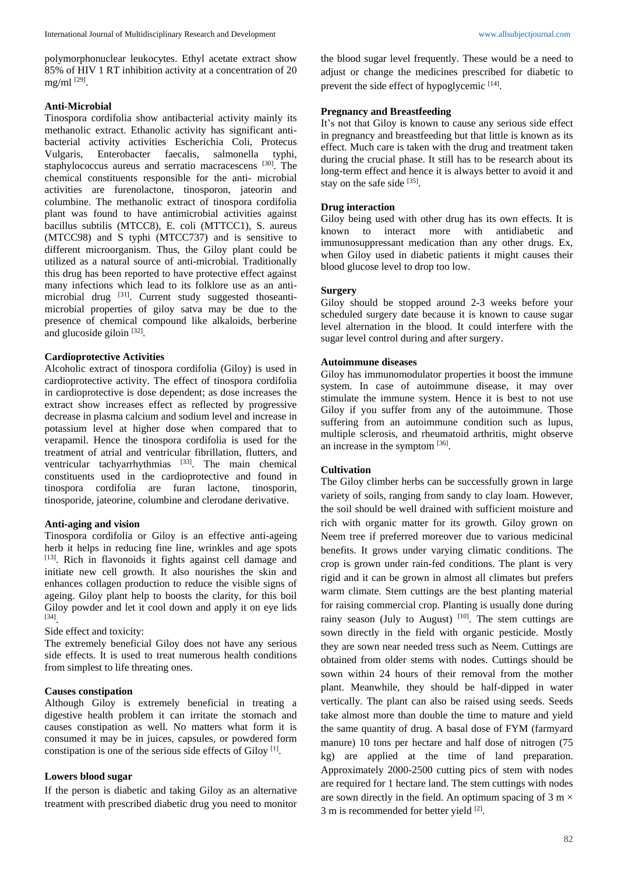polymorphonuclear leukocytes. Ethyl acetate extract show 85% of HIV 1 RT inhibition activity at a concentration of 20 mg/ml [29] .

### **Anti-Microbial**

Tinospora cordifolia show antibacterial activity mainly its methanolic extract. Ethanolic activity has significant antibacterial activity activities Escherichia Coli, Protecus Vulgaris, Enterobacter faecalis, salmonella typhi, staphylococcus aureus and serratio macracescens [30]. The chemical constituents responsible for the anti- microbial activities are furenolactone, tinosporon, jateorin and columbine. The methanolic extract of tinospora cordifolia plant was found to have antimicrobial activities against bacillus subtilis (MTCC8), E. coli (MTTCC1), S. aureus (MTCC98) and S typhi (MTCC737) and is sensitive to different microorganism. Thus, the Giloy plant could be utilized as a natural source of anti-microbial. Traditionally this drug has been reported to have protective effect against many infections which lead to its folklore use as an antimicrobial drug <sup>[31]</sup>. Current study suggested thoseantimicrobial properties of giloy satva may be due to the presence of chemical compound like alkaloids, berberine and glucoside giloin  $[32]$ .

### **Cardioprotective Activities**

Alcoholic extract of tinospora cordifolia (Giloy) is used in cardioprotective activity. The effect of tinospora cordifolia in cardioprotective is dose dependent; as dose increases the extract show increases effect as reflected by progressive decrease in plasma calcium and sodium level and increase in potassium level at higher dose when compared that to verapamil. Hence the tinospora cordifolia is used for the treatment of atrial and ventricular fibrillation, flutters, and ventricular tachyarrhythmias [33]. The main chemical constituents used in the cardioprotective and found in tinospora cordifolia are furan lactone, tinosporin, tinosporide, jateorine, columbine and clerodane derivative.

#### **Anti-aging and vision**

Tinospora cordifolia or Giloy is an effective anti-ageing herb it helps in reducing fine line, wrinkles and age spots [13]. Rich in flavonoids it fights against cell damage and initiate new cell growth. It also nourishes the skin and enhances collagen production to reduce the visible signs of ageing. Giloy plant help to boosts the clarity, for this boil Giloy powder and let it cool down and apply it on eye lids [34] .

Side effect and toxicity:

The extremely beneficial Giloy does not have any serious side effects. It is used to treat numerous health conditions from simplest to life threating ones.

#### **Causes constipation**

Although Giloy is extremely beneficial in treating a digestive health problem it can irritate the stomach and causes constipation as well. No matters what form it is consumed it may be in juices, capsules, or powdered form constipation is one of the serious side effects of Giloy [1].

### **Lowers blood sugar**

If the person is diabetic and taking Giloy as an alternative treatment with prescribed diabetic drug you need to monitor the blood sugar level frequently. These would be a need to adjust or change the medicines prescribed for diabetic to prevent the side effect of hypoglycemic [14].

# **Pregnancy and Breastfeeding**

It's not that Giloy is known to cause any serious side effect in pregnancy and breastfeeding but that little is known as its effect. Much care is taken with the drug and treatment taken during the crucial phase. It still has to be research about its long-term effect and hence it is always better to avoid it and stay on the safe side  $[35]$ .

#### **Drug interaction**

Giloy being used with other drug has its own effects. It is known to interact more with antidiabetic and immunosuppressant medication than any other drugs. Ex, when Giloy used in diabetic patients it might causes their blood glucose level to drop too low.

#### **Surgery**

Giloy should be stopped around 2-3 weeks before your scheduled surgery date because it is known to cause sugar level alternation in the blood. It could interfere with the sugar level control during and after surgery.

#### **Autoimmune diseases**

Giloy has immunomodulator properties it boost the immune system. In case of autoimmune disease, it may over stimulate the immune system. Hence it is best to not use Giloy if you suffer from any of the autoimmune. Those suffering from an autoimmune condition such as lupus, multiple sclerosis, and rheumatoid arthritis, might observe an increase in the symptom [36].

### **Cultivation**

The Giloy climber herbs can be successfully grown in large variety of soils, ranging from sandy to clay loam. However, the soil should be well drained with sufficient moisture and rich with organic matter for its growth. Giloy grown on Neem tree if preferred moreover due to various medicinal benefits. It grows under varying climatic conditions. The crop is grown under rain-fed conditions. The plant is very rigid and it can be grown in almost all climates but prefers warm climate. Stem cuttings are the best planting material for raising commercial crop. Planting is usually done during rainy season (July to August)  $[10]$ . The stem cuttings are sown directly in the field with organic pesticide. Mostly they are sown near needed tress such as Neem. Cuttings are obtained from older stems with nodes. Cuttings should be sown within 24 hours of their removal from the mother plant. Meanwhile, they should be half-dipped in water vertically. The plant can also be raised using seeds. Seeds take almost more than double the time to mature and yield the same quantity of drug. A basal dose of FYM (farmyard manure) 10 tons per hectare and half dose of nitrogen (75 kg) are applied at the time of land preparation. Approximately 2000-2500 cutting pics of stem with nodes are required for 1 hectare land. The stem cuttings with nodes are sown directly in the field. An optimum spacing of 3 m  $\times$ 3 m is recommended for better yield [2].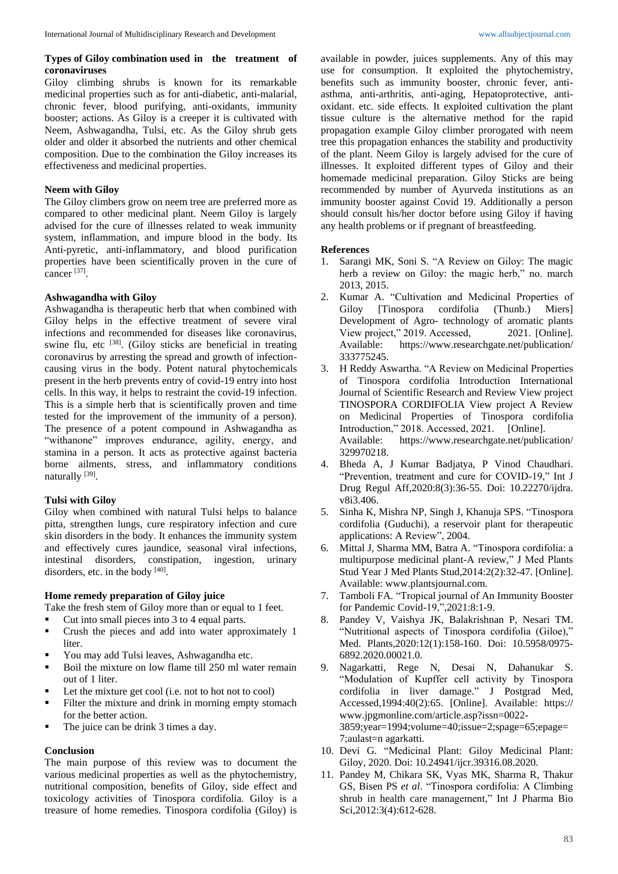## **Types of Giloy combination used in the treatment of coronaviruses**

Giloy climbing shrubs is known for its remarkable medicinal properties such as for anti-diabetic, anti-malarial, chronic fever, blood purifying, anti-oxidants, immunity booster; actions. As Giloy is a creeper it is cultivated with Neem, Ashwagandha, Tulsi, etc. As the Giloy shrub gets older and older it absorbed the nutrients and other chemical composition. Due to the combination the Giloy increases its effectiveness and medicinal properties.

### **Neem with Giloy**

The Giloy climbers grow on neem tree are preferred more as compared to other medicinal plant. Neem Giloy is largely advised for the cure of illnesses related to weak immunity system, inflammation, and impure blood in the body. Its Anti-pyretic, anti-inflammatory, and blood purification properties have been scientifically proven in the cure of cancer<sup>[37]</sup>.

### **Ashwagandha with Giloy**

Ashwagandha is therapeutic herb that when combined with Giloy helps in the effective treatment of severe viral infections and recommended for diseases like coronavirus, swine flu, etc <sup>[38]</sup>. (Giloy sticks are beneficial in treating coronavirus by arresting the spread and growth of infectioncausing virus in the body. Potent natural phytochemicals present in the herb prevents entry of covid-19 entry into host cells. In this way, it helps to restraint the covid-19 infection. This is a simple herb that is scientifically proven and time tested for the improvement of the immunity of a person). The presence of a potent compound in Ashwagandha as "withanone" improves endurance, agility, energy, and stamina in a person. It acts as protective against bacteria borne ailments, stress, and inflammatory conditions naturally [39].

### **Tulsi with Giloy**

Giloy when combined with natural Tulsi helps to balance pitta, strengthen lungs, cure respiratory infection and cure skin disorders in the body. It enhances the immunity system and effectively cures jaundice, seasonal viral infections, intestinal disorders, constipation, ingestion, urinary disorders, etc. in the body [40].

#### **Home remedy preparation of Giloy juice**

Take the fresh stem of Giloy more than or equal to 1 feet.

- Cut into small pieces into 3 to 4 equal parts.
- Crush the pieces and add into water approximately 1 liter.
- You may add Tulsi leaves, Ashwagandha etc.
- Boil the mixture on low flame till 250 ml water remain out of 1 liter.
- Let the mixture get cool (i.e. not to hot not to cool)
- Filter the mixture and drink in morning empty stomach for the better action.
- The juice can be drink 3 times a day.

#### **Conclusion**

The main purpose of this review was to document the various medicinal properties as well as the phytochemistry, nutritional composition, benefits of Giloy, side effect and toxicology activities of Tinospora cordifolia. Giloy is a treasure of home remedies. Tinospora cordifolia (Giloy) is available in powder, juices supplements. Any of this may use for consumption. It exploited the phytochemistry, benefits such as immunity booster, chronic fever, antiasthma, anti-arthritis, anti-aging, Hepatoprotective, antioxidant. etc. side effects. It exploited cultivation the plant tissue culture is the alternative method for the rapid propagation example Giloy climber prorogated with neem tree this propagation enhances the stability and productivity of the plant. Neem Giloy is largely advised for the cure of illnesses. It exploited different types of Giloy and their homemade medicinal preparation. Giloy Sticks are being recommended by number of Ayurveda institutions as an immunity booster against Covid 19. Additionally a person should consult his/her doctor before using Giloy if having any health problems or if pregnant of breastfeeding.

#### **References**

- 1. Sarangi MK, Soni S. "A Review on Giloy: The magic herb a review on Giloy: the magic herb," no. march 2013, 2015.
- 2. Kumar A. "Cultivation and Medicinal Properties of Giloy [Tinospora cordifolia (Thunb.) Miers] Development of Agro- technology of aromatic plants View project," 2019. Accessed, 2021. [Online]. Available: https://www.researchgate.net/publication/ 333775245.
- 3. H Reddy Aswartha. "A Review on Medicinal Properties of Tinospora cordifolia Introduction International Journal of Scientific Research and Review View project TINOSPORA CORDIFOLIA View project A Review on Medicinal Properties of Tinospora cordifolia Introduction," 2018. Accessed, 2021. [Online]. Available: https://www.researchgate.net/publication/ 329970218.
- 4. Bheda A, J Kumar Badjatya, P Vinod Chaudhari. "Prevention, treatment and cure for COVID-19," Int J Drug Regul Aff,2020:8(3):36-55. Doi: 10.22270/ijdra. v8i3.406.
- 5. Sinha K, Mishra NP, Singh J, Khanuja SPS. "Tinospora cordifolia (Guduchi), a reservoir plant for therapeutic applications: A Review", 2004.
- 6. Mittal J, Sharma MM, Batra A. "Tinospora cordifolia: a multipurpose medicinal plant-A review," J Med Plants Stud Year J Med Plants Stud,2014:2(2):32-47. [Online]. Available: www.plantsjournal.com.
- 7. Tamboli FA. "Tropical journal of An Immunity Booster for Pandemic Covid-19,",2021:8:1-9.
- 8. Pandey V, Vaishya JK, Balakrishnan P, Nesari TM. "Nutritional aspects of Tinospora cordifolia (Giloe)," Med. Plants,2020:12(1):158-160. Doi: 10.5958/0975- 6892.2020.00021.0.
- 9. Nagarkatti, Rege N, Desai N, Dahanukar S. "Modulation of Kupffer cell activity by Tinospora cordifolia in liver damage." J Postgrad Med, Accessed,1994:40(2):65. [Online]. Available: https:// www.jpgmonline.com/article.asp?issn=0022- 3859;year=1994;volume=40;issue=2;spage=65;epage= 7;aulast=n agarkatti.
- 10. Devi G. "Medicinal Plant: Giloy Medicinal Plant: Giloy, 2020. Doi: 10.24941/ijcr.39316.08.2020.
- 11. Pandey M, Chikara SK, Vyas MK, Sharma R, Thakur GS, Bisen PS *et al*. "Tinospora cordifolia: A Climbing shrub in health care management," Int J Pharma Bio Sci,2012:3(4):612-628.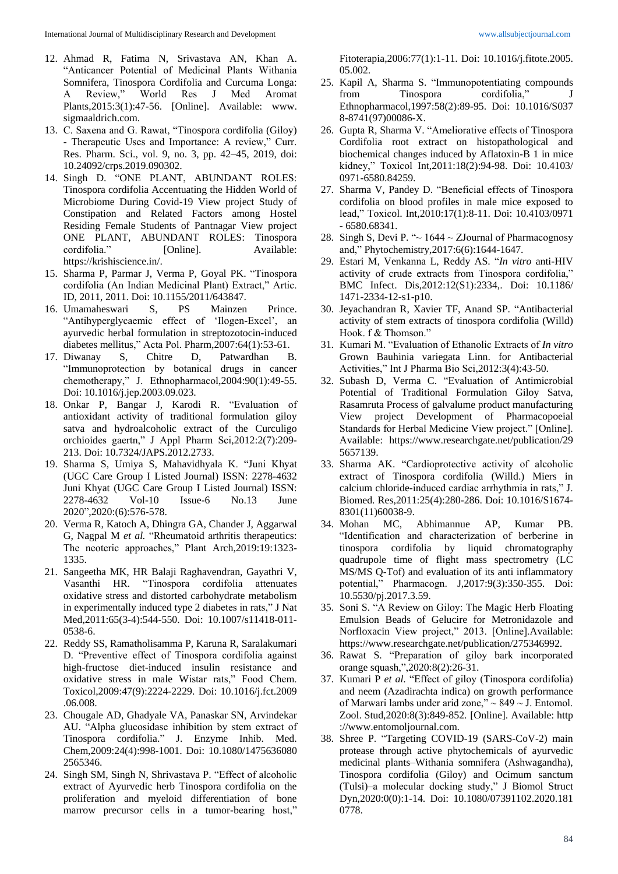- 12. Ahmad R, Fatima N, Srivastava AN, Khan A. "Anticancer Potential of Medicinal Plants Withania Somnifera, Tinospora Cordifolia and Curcuma Longa: A Review," World Res J Med Aromat Plants,2015:3(1):47-56. [Online]. Available: www. sigmaaldrich.com.
- 13. C. Saxena and G. Rawat, "Tinospora cordifolia (Giloy) - Therapeutic Uses and Importance: A review," Curr. Res. Pharm. Sci., vol. 9, no. 3, pp. 42–45, 2019, doi: 10.24092/crps.2019.090302.
- 14. Singh D. "ONE PLANT, ABUNDANT ROLES: Tinospora cordifolia Accentuating the Hidden World of Microbiome During Covid-19 View project Study of Constipation and Related Factors among Hostel Residing Female Students of Pantnagar View project ONE PLANT, ABUNDANT ROLES: Tinospora cordifolia." [Online]. Available: https://krishiscience.in/.
- 15. Sharma P, Parmar J, Verma P, Goyal PK. "Tinospora cordifolia (An Indian Medicinal Plant) Extract," Artic. ID, 2011, 2011. Doi: 10.1155/2011/643847.
- 16. Umamaheswari S, PS Mainzen Prince. "Antihyperglycaemic effect of 'Ilogen-Excel', an ayurvedic herbal formulation in streptozotocin-induced diabetes mellitus," Acta Pol. Pharm,2007:64(1):53-61.
- 17. Diwanay S, Chitre D, Patwardhan B. "Immunoprotection by botanical drugs in cancer chemotherapy," J. Ethnopharmacol,2004:90(1):49-55. Doi: 10.1016/j.jep.2003.09.023.
- 18. Onkar P, Bangar J, Karodi R. "Evaluation of antioxidant activity of traditional formulation giloy satva and hydroalcoholic extract of the Curculigo orchioides gaertn," J Appl Pharm Sci,2012:2(7):209- 213. Doi: 10.7324/JAPS.2012.2733.
- 19. Sharma S, Umiya S, Mahavidhyala K. "Juni Khyat (UGC Care Group I Listed Journal) ISSN: 2278-4632 Juni Khyat (UGC Care Group I Listed Journal) ISSN: 2278-4632 Vol-10 Issue-6 No.13 June 2020",2020:(6):576-578.
- 20. Verma R, Katoch A, Dhingra GA, Chander J, Aggarwal G, Nagpal M *et al.* "Rheumatoid arthritis therapeutics: The neoteric approaches," Plant Arch,2019:19:1323- 1335.
- 21. Sangeetha MK, HR Balaji Raghavendran, Gayathri V, Vasanthi HR. "Tinospora cordifolia attenuates oxidative stress and distorted carbohydrate metabolism in experimentally induced type 2 diabetes in rats," J Nat Med,2011:65(3-4):544-550. Doi: 10.1007/s11418-011- 0538-6.
- 22. Reddy SS, Ramatholisamma P, Karuna R, Saralakumari D. "Preventive effect of Tinospora cordifolia against high-fructose diet-induced insulin resistance and oxidative stress in male Wistar rats," Food Chem. Toxicol,2009:47(9):2224-2229. Doi: 10.1016/j.fct.2009 .06.008.
- 23. Chougale AD, Ghadyale VA, Panaskar SN, Arvindekar AU. "Alpha glucosidase inhibition by stem extract of Tinospora cordifolia." J. Enzyme Inhib. Med. Chem,2009:24(4):998-1001. Doi: 10.1080/1475636080 2565346.
- 24. Singh SM, Singh N, Shrivastava P. "Effect of alcoholic extract of Ayurvedic herb Tinospora cordifolia on the proliferation and myeloid differentiation of bone marrow precursor cells in a tumor-bearing host,"

Fitoterapia,2006:77(1):1-11. Doi: 10.1016/j.fitote.2005. 05.002.

- 25. Kapil A, Sharma S. "Immunopotentiating compounds from Tinospora cordifolia," J Ethnopharmacol,1997:58(2):89-95. Doi: 10.1016/S037 8-8741(97)00086-X.
- 26. Gupta R, Sharma V. "Ameliorative effects of Tinospora Cordifolia root extract on histopathological and biochemical changes induced by Aflatoxin-B 1 in mice kidney," Toxicol Int,2011:18(2):94-98. Doi: 10.4103/ 0971-6580.84259.
- 27. Sharma V, Pandey D. "Beneficial effects of Tinospora cordifolia on blood profiles in male mice exposed to lead," Toxicol. Int,2010:17(1):8-11. Doi: 10.4103/0971 - 6580.68341.
- 28. Singh S, Devi P. "~ 1644 ~ ZJournal of Pharmacognosy and," Phytochemistry,2017:6(6):1644-1647.
- 29. Estari M, Venkanna L, Reddy AS. "*In vitro* anti-HIV activity of crude extracts from Tinospora cordifolia," BMC Infect. Dis,2012:12(S1):2334,. Doi: 10.1186/ 1471-2334-12-s1-p10.
- 30. Jeyachandran R, Xavier TF, Anand SP. "Antibacterial activity of stem extracts of tinospora cordifolia (Willd) Hook. f & Thomson."
- 31. Kumari M. "Evaluation of Ethanolic Extracts of *In vitro* Grown Bauhinia variegata Linn. for Antibacterial Activities," Int J Pharma Bio Sci,2012:3(4):43-50.
- 32. Subash D, Verma C. "Evaluation of Antimicrobial Potential of Traditional Formulation Giloy Satva, Rasamruta Process of galvalume product manufacturing View project Development of Pharmacopoeial Standards for Herbal Medicine View project." [Online]. Available: https://www.researchgate.net/publication/29 5657139.
- 33. Sharma AK. "Cardioprotective activity of alcoholic extract of Tinospora cordifolia (Willd.) Miers in calcium chloride-induced cardiac arrhythmia in rats," J. Biomed. Res,2011:25(4):280-286. Doi: 10.1016/S1674- 8301(11)60038-9.
- 34. Mohan MC, Abhimannue AP, Kumar PB. "Identification and characterization of berberine in tinospora cordifolia by liquid chromatography quadrupole time of flight mass spectrometry (LC MS/MS Q-Tof) and evaluation of its anti inflammatory potential," Pharmacogn. J,2017:9(3):350-355. Doi: 10.5530/pj.2017.3.59.
- 35. Soni S. "A Review on Giloy: The Magic Herb Floating Emulsion Beads of Gelucire for Metronidazole and Norfloxacin View project," 2013. [Online].Available: https://www.researchgate.net/publication/275346992.
- 36. Rawat S. "Preparation of giloy bark incorporated orange squash,",2020:8(2):26-31.
- 37. Kumari P *et al*. "Effect of giloy (Tinospora cordifolia) and neem (Azadirachta indica) on growth performance of Marwari lambs under arid zone,"  $\sim$  849  $\sim$  J. Entomol. Zool. Stud,2020:8(3):849-852. [Online]. Available: http ://www.entomoljournal.com.
- 38. Shree P. "Targeting COVID-19 (SARS-CoV-2) main protease through active phytochemicals of ayurvedic medicinal plants–Withania somnifera (Ashwagandha), Tinospora cordifolia (Giloy) and Ocimum sanctum (Tulsi)–a molecular docking study," J Biomol Struct Dyn,2020:0(0):1-14. Doi: 10.1080/07391102.2020.181 0778.